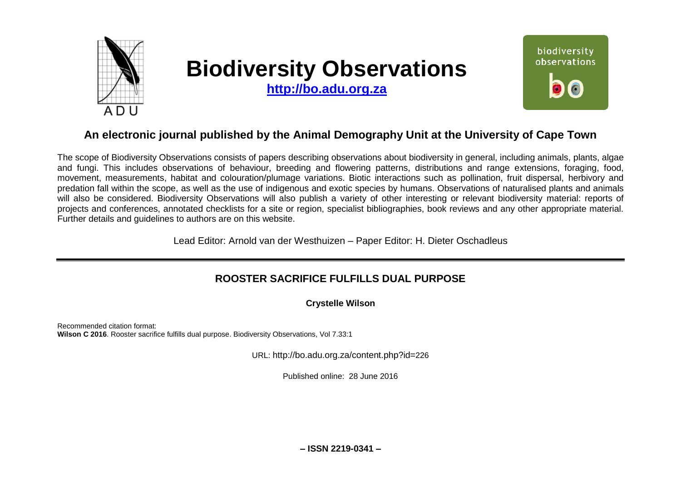

# **Biodiversity Observations**

**[http://bo.adu.org.za](http://bo.adu.org.za/)**



## **An electronic journal published by the Animal Demography Unit at the University of Cape Town**

The scope of Biodiversity Observations consists of papers describing observations about biodiversity in general, including animals, plants, algae and fungi. This includes observations of behaviour, breeding and flowering patterns, distributions and range extensions, foraging, food, movement, measurements, habitat and colouration/plumage variations. Biotic interactions such as pollination, fruit dispersal, herbivory and predation fall within the scope, as well as the use of indigenous and exotic species by humans. Observations of naturalised plants and animals will also be considered. Biodiversity Observations will also publish a variety of other interesting or relevant biodiversity material: reports of projects and conferences, annotated checklists for a site or region, specialist bibliographies, book reviews and any other appropriate material. Further details and guidelines to authors are on this website.

Lead Editor: Arnold van der Westhuizen – Paper Editor: H. Dieter Oschadleus

### **ROOSTER SACRIFICE FULFILLS DUAL PURPOSE**

**Crystelle Wilson**

Recommended citation format: **Wilson C 2016**. Rooster sacrifice fulfills dual purpose. Biodiversity Observations, Vol 7.33:1

URL: http://bo.adu.org.za/content.php?id=226

Published online: 28 June 2016